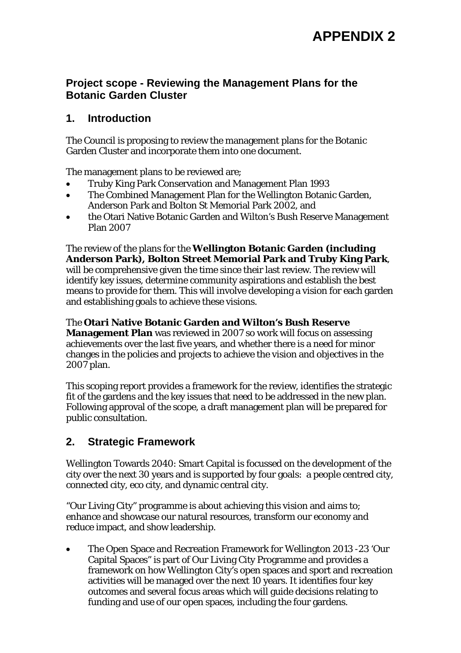# **Project scope - Reviewing the Management Plans for the Botanic Garden Cluster**

# **1. Introduction**

The Council is proposing to review the management plans for the Botanic Garden Cluster and incorporate them into one document.

The management plans to be reviewed are;

- Truby King Park Conservation and Management Plan 1993
- The Combined Management Plan for the Wellington Botanic Garden, Anderson Park and Bolton St Memorial Park 2002, and
- the Otari Native Botanic Garden and Wilton's Bush Reserve Management Plan 2007

The review of the plans for the **Wellington Botanic Garden (including Anderson Park), Bolton Street Memorial Park and Truby King Park**, will be comprehensive given the time since their last review. The review will identify key issues, determine community aspirations and establish the best means to provide for them. This will involve developing a vision for each garden and establishing goals to achieve these visions.

# The **Otari Native Botanic Garden and Wilton's Bush Reserve**

**Management Plan** was reviewed in 2007 so work will focus on assessing achievements over the last five years, and whether there is a need for minor changes in the policies and projects to achieve the vision and objectives in the 2007 plan.

This scoping report provides a framework for the review, identifies the strategic fit of the gardens and the key issues that need to be addressed in the new plan. Following approval of the scope, a draft management plan will be prepared for public consultation.

# **2. Strategic Framework**

Wellington Towards 2040: Smart Capital is focussed on the development of the city over the next 30 years and is supported by four goals: a people centred city, connected city, eco city, and dynamic central city.

"Our Living City" programme is about achieving this vision and aims to; enhance and showcase our natural resources, transform our economy and reduce impact, and show leadership.

 The Open Space and Recreation Framework for Wellington 2013 -23 'Our Capital Spaces" is part of Our Living City Programme and provides a framework on how Wellington City's open spaces and sport and recreation activities will be managed over the next 10 years. It identifies four key outcomes and several focus areas which will guide decisions relating to funding and use of our open spaces, including the four gardens.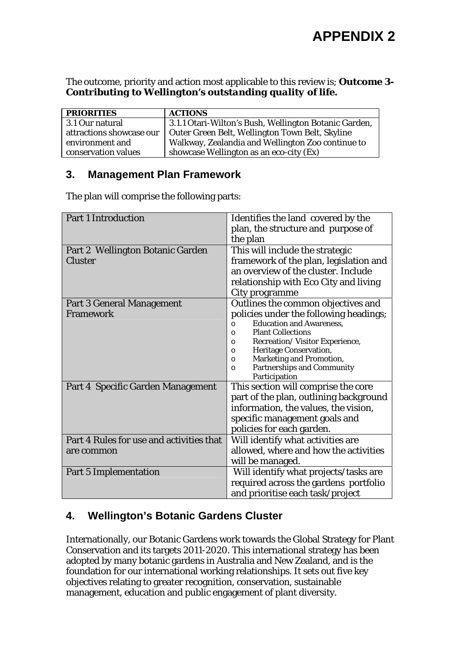The outcome, priority and action most applicable to this review is; *Outcome 3- Contributing to Wellington's outstanding quality of life.* 

| <b>PRIORITIES</b>        | <b>ACTIONS</b>                                        |
|--------------------------|-------------------------------------------------------|
| 3.1 Our natural          | 3.1.1 Otari-Wilton's Bush, Wellington Botanic Garden, |
| attractions showcase our | Outer Green Belt, Wellington Town Belt, Skyline       |
| environment and          | Walkway, Zealandia and Wellington Zoo continue to     |
| conservation values      | showcase Wellington as an eco-city (Ex)               |

# **3. Management Plan Framework**

The plan will comprise the following parts:

| <b>Part 1 Introduction</b>               | Identifies the land covered by the            |
|------------------------------------------|-----------------------------------------------|
|                                          | plan, the structure and purpose of            |
|                                          | the plan                                      |
| Part 2 Wellington Botanic Garden         | This will include the strategic               |
| <b>Cluster</b>                           | framework of the plan, legislation and        |
|                                          | an overview of the cluster. Include           |
|                                          | relationship with Eco City and living         |
|                                          | City programme                                |
| <b>Part 3 General Management</b>         | Outlines the common objectives and            |
| Framework                                | policies under the following headings;        |
|                                          | <b>Education and Awareness,</b><br>$\Omega$   |
|                                          | <b>Plant Collections</b><br>$\Omega$          |
|                                          | Recreation/Visitor Experience,<br>$\circ$     |
|                                          | Heritage Conservation,<br>$\circ$             |
|                                          | <b>Marketing and Promotion,</b><br>$\circ$    |
|                                          | <b>Partnerships and Community</b><br>$\Omega$ |
|                                          | Participation                                 |
| Part 4 Specific Garden Management        | This section will comprise the core           |
|                                          | part of the plan, outlining background        |
|                                          | information, the values, the vision,          |
|                                          | specific management goals and                 |
|                                          | policies for each garden.                     |
| Part 4 Rules for use and activities that | Will identify what activities are             |
| are common                               | allowed, where and how the activities         |
|                                          | will be managed.                              |
| <b>Part 5 Implementation</b>             | Will identify what projects/tasks are         |
|                                          | required across the gardens portfolio         |
|                                          | and prioritise each task/project              |

# **4. Wellington's Botanic Gardens Cluster**

Internationally, our Botanic Gardens work towards the Global Strategy for Plant Conservation and its targets 2011-2020. This international strategy has been adopted by many botanic gardens in Australia and New Zealand, and is the foundation for our international working relationships. It sets out five key objectives relating to greater recognition, conservation, sustainable management, education and public engagement of plant diversity.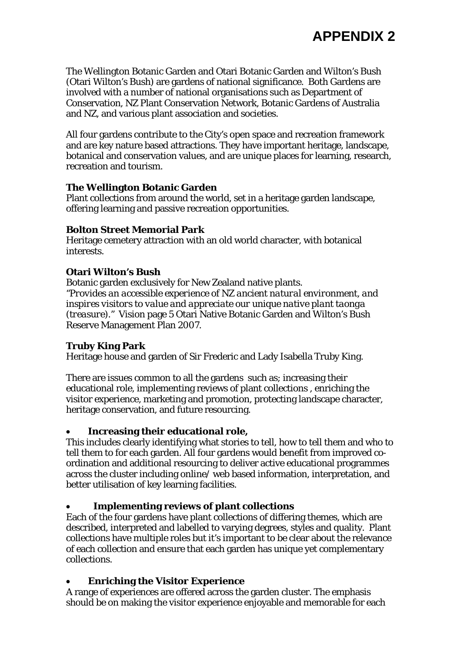The Wellington Botanic Garden and Otari Botanic Garden and Wilton's Bush (Otari Wilton's Bush) are gardens of national significance. Both Gardens are involved with a number of national organisations such as Department of Conservation, NZ Plant Conservation Network, Botanic Gardens of Australia and NZ, and various plant association and societies.

All four gardens contribute to the City's open space and recreation framework and are key nature based attractions. They have important heritage, landscape, botanical and conservation values, and are unique places for learning, research, recreation and tourism.

## **The Wellington Botanic Garden**

Plant collections from around the world, set in a heritage garden landscape, offering learning and passive recreation opportunities.

#### **Bolton Street Memorial Park**

Heritage cemetery attraction with an old world character, with botanical interests.

# **Otari Wilton's Bush**

Botanic garden exclusively for New Zealand native plants. *"Provides an accessible experience of NZ ancient natural environment, and inspires visitors to value and appreciate our unique native plant taonga (treasure)."* Vision page 5 Otari Native Botanic Garden and Wilton's Bush Reserve Management Plan 2007.

#### **Truby King Park**

Heritage house and garden of Sir Frederic and Lady Isabella Truby King.

There are issues common to all the gardens such as; increasing their educational role, implementing reviews of plant collections , enriching the visitor experience, marketing and promotion, protecting landscape character, heritage conservation, and future resourcing.

# **Increasing their educational role,**

This includes clearly identifying what stories to tell, how to tell them and who to tell them to for each garden. All four gardens would benefit from improved coordination and additional resourcing to deliver active educational programmes across the cluster including online/ web based information, interpretation, and better utilisation of key learning facilities.

# **Implementing reviews of plant collections**

Each of the four gardens have plant collections of differing themes, which are described, interpreted and labelled to varying degrees, styles and quality. Plant collections have multiple roles but it's important to be clear about the relevance of each collection and ensure that each garden has unique yet complementary collections.

# **Enriching the Visitor Experience**

A range of experiences are offered across the garden cluster. The emphasis should be on making the visitor experience enjoyable and memorable for each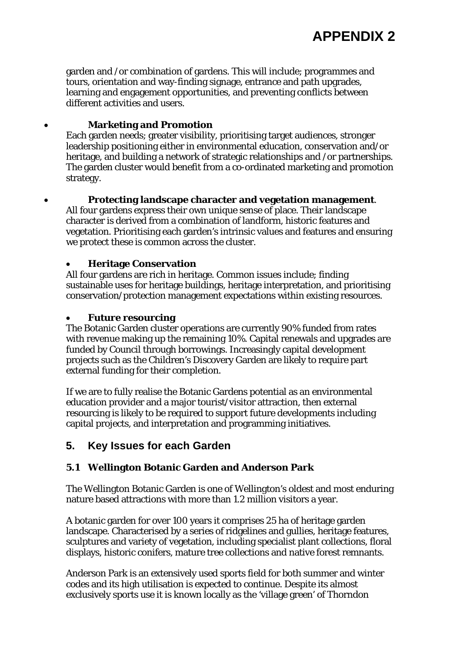garden and /or combination of gardens. This will include; programmes and tours, orientation and way-finding signage, entrance and path upgrades, learning and engagement opportunities, and preventing conflicts between different activities and users.

## **Marketing and Promotion**

Each garden needs; greater visibility, prioritising target audiences, stronger leadership positioning either in environmental education, conservation and/or heritage, and building a network of strategic relationships and /or partnerships. The garden cluster would benefit from a co-ordinated marketing and promotion strategy.

## **Protecting landscape character and vegetation management**.

All four gardens express their own unique sense of place. Their landscape character is derived from a combination of landform, historic features and vegetation. Prioritising each garden's intrinsic values and features and ensuring we protect these is common across the cluster.

#### **Heritage Conservation**

All four gardens are rich in heritage. Common issues include; finding sustainable uses for heritage buildings, heritage interpretation, and prioritising conservation/protection management expectations within existing resources.

#### **Future resourcing**

The Botanic Garden cluster operations are currently 90% funded from rates with revenue making up the remaining 10%. Capital renewals and upgrades are funded by Council through borrowings. Increasingly capital development projects such as the Children's Discovery Garden are likely to require part external funding for their completion.

If we are to fully realise the Botanic Gardens potential as an environmental education provider and a major tourist/visitor attraction, then external resourcing is likely to be required to support future developments including capital projects, and interpretation and programming initiatives.

# **5. Key Issues for each Garden**

#### **5.1 Wellington Botanic Garden and Anderson Park**

The Wellington Botanic Garden is one of Wellington's oldest and most enduring nature based attractions with more than 1.2 million visitors a year.

A botanic garden for over 100 years it comprises 25 ha of heritage garden landscape. Characterised by a series of ridgelines and gullies, heritage features, sculptures and variety of vegetation, including specialist plant collections, floral displays, historic conifers, mature tree collections and native forest remnants.

Anderson Park is an extensively used sports field for both summer and winter codes and its high utilisation is expected to continue. Despite its almost exclusively sports use it is known locally as the 'village green' of Thorndon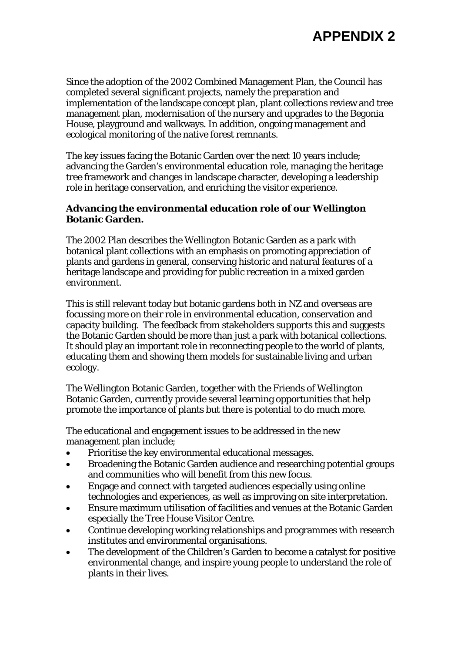Since the adoption of the 2002 Combined Management Plan, the Council has completed several significant projects, namely the preparation and implementation of the landscape concept plan, plant collections review and tree management plan, modernisation of the nursery and upgrades to the Begonia House, playground and walkways. In addition, ongoing management and ecological monitoring of the native forest remnants.

The key issues facing the Botanic Garden over the next 10 years include; advancing the Garden's environmental education role, managing the heritage tree framework and changes in landscape character, developing a leadership role in heritage conservation, and enriching the visitor experience.

#### **Advancing the environmental education role of our Wellington Botanic Garden.**

The 2002 Plan describes the Wellington Botanic Garden as a park with botanical plant collections with an emphasis on promoting appreciation of plants and gardens in general, conserving historic and natural features of a heritage landscape and providing for public recreation in a mixed garden environment.

This is still relevant today but botanic gardens both in NZ and overseas are focussing more on their role in environmental education, conservation and capacity building. The feedback from stakeholders supports this and suggests the Botanic Garden should be more than just a park with botanical collections. It should play an important role in reconnecting people to the world of plants, educating them and showing them models for sustainable living and urban ecology.

The Wellington Botanic Garden, together with the Friends of Wellington Botanic Garden, currently provide several learning opportunities that help promote the importance of plants but there is potential to do much more.

The educational and engagement issues to be addressed in the new management plan include;

- Prioritise the key environmental educational messages.
- Broadening the Botanic Garden audience and researching potential groups and communities who will benefit from this new focus.
- Engage and connect with targeted audiences especially using online technologies and experiences, as well as improving on site interpretation.
- Ensure maximum utilisation of facilities and venues at the Botanic Garden especially the Tree House Visitor Centre.
- Continue developing working relationships and programmes with research institutes and environmental organisations.
- The development of the Children's Garden to become a catalyst for positive environmental change, and inspire young people to understand the role of plants in their lives.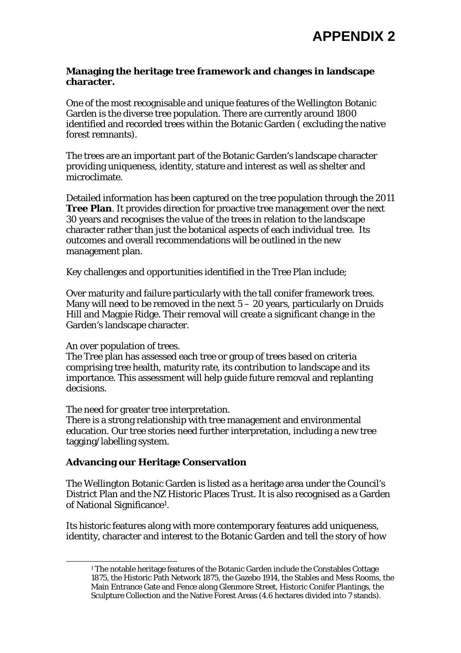**APPENDIX 2** 

#### **Managing the heritage tree framework and changes in landscape character.**

One of the most recognisable and unique features of the Wellington Botanic Garden is the diverse tree population. There are currently around 1800 identified and recorded trees within the Botanic Garden ( excluding the native forest remnants).

The trees are an important part of the Botanic Garden's landscape character providing uniqueness, identity, stature and interest as well as shelter and microclimate.

Detailed information has been captured on the tree population through the 2011 **Tree Plan**. It provides direction for proactive tree management over the next 30 years and recognises the value of the trees in relation to the landscape character rather than just the botanical aspects of each individual tree. Its outcomes and overall recommendations will be outlined in the new management plan.

Key challenges and opportunities identified in the Tree Plan include;

Over maturity and failure particularly with the tall conifer framework trees. Many will need to be removed in the next  $5 - 20$  years, particularly on Druids Hill and Magpie Ridge. Their removal will create a significant change in the Garden's landscape character.

#### An over population of trees.

l

The Tree plan has assessed each tree or group of trees based on criteria comprising tree health, maturity rate, its contribution to landscape and its importance. This assessment will help guide future removal and replanting decisions.

The need for greater tree interpretation.

There is a strong relationship with tree management and environmental education. Our tree stories need further interpretation, including a new tree tagging/labelling system.

#### **Advancing our Heritage Conservation**

The Wellington Botanic Garden is listed as a heritage area under the Council's District Plan and the NZ Historic Places Trust. It is also recognised as a Garden of National Significance1.

Its historic features along with more contemporary features add uniqueness, identity, character and interest to the Botanic Garden and tell the story of how

<sup>&</sup>lt;sup>1</sup> The notable heritage features of the Botanic Garden include the Constables Cottage 1875, the Historic Path Network 1875, the Gazebo 1914, the Stables and Mess Rooms, the Main Entrance Gate and Fence along Glenmore Street, Historic Conifer Plantings, the Sculpture Collection and the Native Forest Areas (4.6 hectares divided into 7 stands).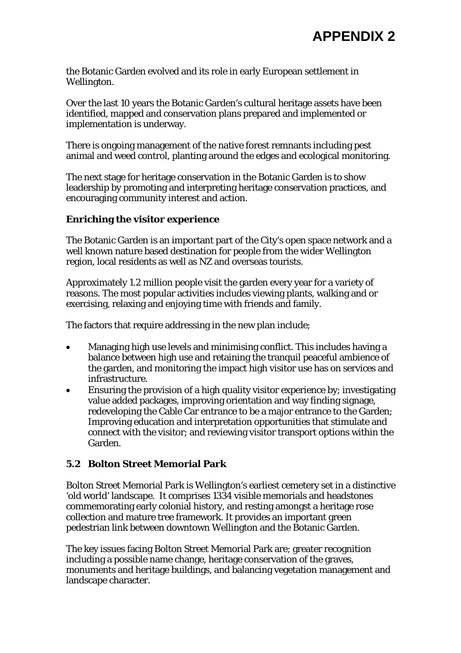the Botanic Garden evolved and its role in early European settlement in Wellington.

Over the last 10 years the Botanic Garden's cultural heritage assets have been identified, mapped and conservation plans prepared and implemented or implementation is underway.

There is ongoing management of the native forest remnants including pest animal and weed control, planting around the edges and ecological monitoring.

The next stage for heritage conservation in the Botanic Garden is to show leadership by promoting and interpreting heritage conservation practices, and encouraging community interest and action.

#### **Enriching the visitor experience**

The Botanic Garden is an important part of the City's open space network and a well known nature based destination for people from the wider Wellington region, local residents as well as NZ and overseas tourists.

Approximately 1.2 million people visit the garden every year for a variety of reasons. The most popular activities includes viewing plants, walking and or exercising, relaxing and enjoying time with friends and family.

The factors that require addressing in the new plan include;

- Managing high use levels and minimising conflict. This includes having a balance between high use and retaining the tranquil peaceful ambience of the garden, and monitoring the impact high visitor use has on services and infrastructure.
- Ensuring the provision of a high quality visitor experience by; investigating value added packages, improving orientation and way finding signage, redeveloping the Cable Car entrance to be a major entrance to the Garden; Improving education and interpretation opportunities that stimulate and connect with the visitor; and reviewing visitor transport options within the Garden.

#### **5.2 Bolton Street Memorial Park**

Bolton Street Memorial Park is Wellington's earliest cemetery set in a distinctive 'old world' landscape. It comprises 1334 visible memorials and headstones commemorating early colonial history, and resting amongst a heritage rose collection and mature tree framework. It provides an important green pedestrian link between downtown Wellington and the Botanic Garden.

The key issues facing Bolton Street Memorial Park are; greater recognition including a possible name change, heritage conservation of the graves, monuments and heritage buildings, and balancing vegetation management and landscape character.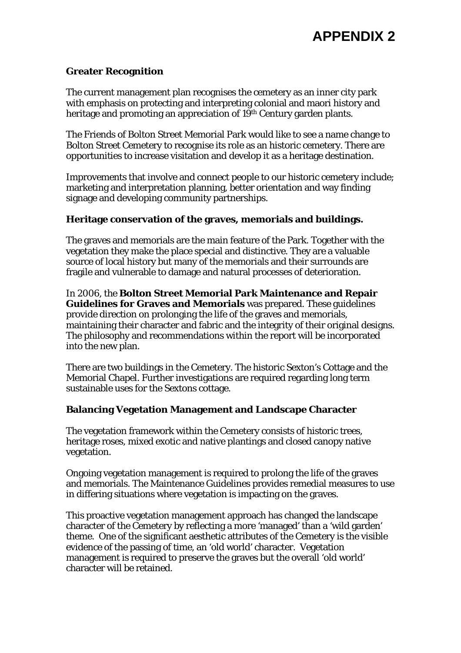## **Greater Recognition**

The current management plan recognises the cemetery as an inner city park with emphasis on protecting and interpreting colonial and maori history and heritage and promoting an appreciation of 19<sup>th</sup> Century garden plants.

The Friends of Bolton Street Memorial Park would like to see a name change to Bolton Street Cemetery to recognise its role as an historic cemetery. There are opportunities to increase visitation and develop it as a heritage destination.

Improvements that involve and connect people to our historic cemetery include; marketing and interpretation planning, better orientation and way finding signage and developing community partnerships.

#### **Heritage conservation of the graves, memorials and buildings.**

The graves and memorials are the main feature of the Park. Together with the vegetation they make the place special and distinctive. They are a valuable source of local history but many of the memorials and their surrounds are fragile and vulnerable to damage and natural processes of deterioration.

In 2006, the **Bolton Street Memorial Park Maintenance and Repair Guidelines for Graves and Memorials** was prepared. These guidelines provide direction on prolonging the life of the graves and memorials, maintaining their character and fabric and the integrity of their original designs. The philosophy and recommendations within the report will be incorporated into the new plan.

There are two buildings in the Cemetery. The historic Sexton's Cottage and the Memorial Chapel. Further investigations are required regarding long term sustainable uses for the Sextons cottage.

#### **Balancing Vegetation Management and Landscape Character**

The vegetation framework within the Cemetery consists of historic trees, heritage roses, mixed exotic and native plantings and closed canopy native vegetation.

Ongoing vegetation management is required to prolong the life of the graves and memorials. The Maintenance Guidelines provides remedial measures to use in differing situations where vegetation is impacting on the graves.

This proactive vegetation management approach has changed the landscape character of the Cemetery by reflecting a more 'managed' than a 'wild garden' theme. One of the significant aesthetic attributes of the Cemetery is the visible evidence of the passing of time, an 'old world' character. Vegetation management is required to preserve the graves but the overall 'old world' character will be retained.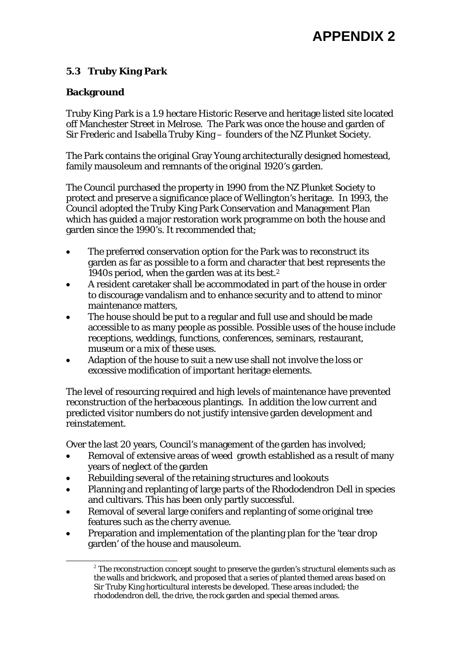# **APPENDIX 2**

# **5.3 Truby King Park**

# **Background**

Truby King Park is a 1.9 hectare Historic Reserve and heritage listed site located off Manchester Street in Melrose. The Park was once the house and garden of Sir Frederic and Isabella Truby King – founders of the NZ Plunket Society.

The Park contains the original Gray Young architecturally designed homestead, family mausoleum and remnants of the original 1920's garden.

The Council purchased the property in 1990 from the NZ Plunket Society to protect and preserve a significance place of Wellington's heritage. In 1993, the Council adopted the Truby King Park Conservation and Management Plan which has guided a major restoration work programme on both the house and garden since the 1990's. It recommended that;

- The preferred conservation option for the Park was to reconstruct its garden as far as possible to a form and character that best represents the 1940s period, when the garden was at its best.2
- A resident caretaker shall be accommodated in part of the house in order to discourage vandalism and to enhance security and to attend to minor maintenance matters,
- The house should be put to a regular and full use and should be made accessible to as many people as possible. Possible uses of the house include receptions, weddings, functions, conferences, seminars, restaurant, museum or a mix of these uses.
- Adaption of the house to suit a new use shall not involve the loss or excessive modification of important heritage elements.

The level of resourcing required and high levels of maintenance have prevented reconstruction of the herbaceous plantings. In addition the low current and predicted visitor numbers do not justify intensive garden development and reinstatement.

Over the last 20 years, Council's management of the garden has involved;

- Removal of extensive areas of weed growth established as a result of many years of neglect of the garden
- Rebuilding several of the retaining structures and lookouts
- Planning and replanting of large parts of the Rhododendron Dell in species and cultivars. This has been only partly successful.
- Removal of several large conifers and replanting of some original tree features such as the cherry avenue.
- Preparation and implementation of the planting plan for the 'tear drop garden' of the house and mausoleum.

 $2^2$  The reconstruction concept sought to preserve the garden's structural elements such as the walls and brickwork, and proposed that a series of planted themed areas based on Sir Truby King horticultural interests be developed. These areas included; the rhododendron dell, the drive, the rock garden and special themed areas.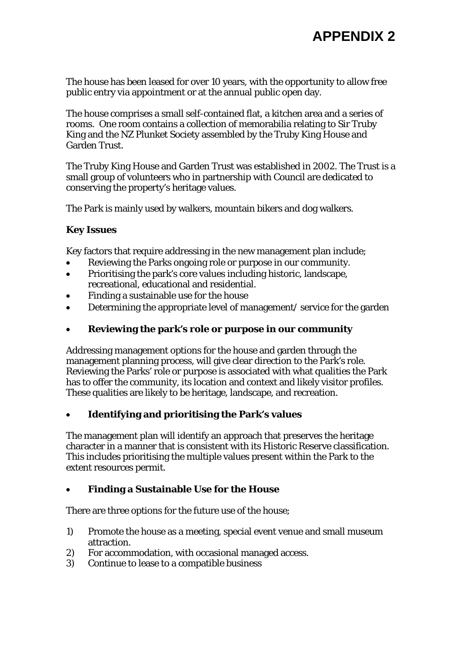The house has been leased for over 10 years, with the opportunity to allow free public entry via appointment or at the annual public open day.

The house comprises a small self-contained flat, a kitchen area and a series of rooms. One room contains a collection of memorabilia relating to Sir Truby King and the NZ Plunket Society assembled by the Truby King House and Garden Trust.

The Truby King House and Garden Trust was established in 2002. The Trust is a small group of volunteers who in partnership with Council are dedicated to conserving the property's heritage values.

The Park is mainly used by walkers, mountain bikers and dog walkers.

# **Key Issues**

Key factors that require addressing in the new management plan include;

- Reviewing the Parks ongoing role or purpose in our community.
- Prioritising the park's core values including historic, landscape, recreational, educational and residential.
- Finding a sustainable use for the house
- Determining the appropriate level of management/ service for the garden

## **Reviewing the park's role or purpose in our community**

Addressing management options for the house and garden through the management planning process, will give clear direction to the Park's role. Reviewing the Parks' role or purpose is associated with what qualities the Park has to offer the community, its location and context and likely visitor profiles. These qualities are likely to be heritage, landscape, and recreation.

# **Identifying and prioritising the Park's values**

The management plan will identify an approach that preserves the heritage character in a manner that is consistent with its Historic Reserve classification. This includes prioritising the multiple values present within the Park to the extent resources permit.

#### **Finding a Sustainable Use for the House**

There are three options for the future use of the house;

- 1) Promote the house as a meeting, special event venue and small museum attraction.
- 2) For accommodation, with occasional managed access.
- 3) Continue to lease to a compatible business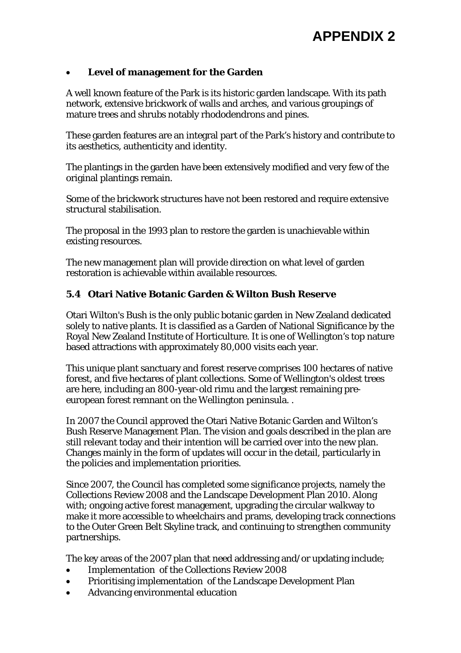## **Level of management for the Garden**

A well known feature of the Park is its historic garden landscape. With its path network, extensive brickwork of walls and arches, and various groupings of mature trees and shrubs notably rhododendrons and pines.

These garden features are an integral part of the Park's history and contribute to its aesthetics, authenticity and identity.

The plantings in the garden have been extensively modified and very few of the original plantings remain.

Some of the brickwork structures have not been restored and require extensive structural stabilisation.

The proposal in the 1993 plan to restore the garden is unachievable within existing resources.

The new management plan will provide direction on what level of garden restoration is achievable within available resources.

## **5.4 Otari Native Botanic Garden & Wilton Bush Reserve**

Otari Wilton's Bush is the only public botanic garden in New Zealand dedicated solely to native plants. It is classified as a Garden of National Significance by the Royal New Zealand Institute of Horticulture. It is one of Wellington's top nature based attractions with approximately 80,000 visits each year.

This unique plant sanctuary and forest reserve comprises 100 hectares of native forest, and five hectares of plant collections. Some of Wellington's oldest trees are here, including an 800-year-old rimu and the largest remaining preeuropean forest remnant on the Wellington peninsula. .

In 2007 the Council approved the Otari Native Botanic Garden and Wilton's Bush Reserve Management Plan. The vision and goals described in the plan are still relevant today and their intention will be carried over into the new plan. Changes mainly in the form of updates will occur in the detail, particularly in the policies and implementation priorities.

Since 2007, the Council has completed some significance projects, namely the Collections Review 2008 and the Landscape Development Plan 2010. Along with; ongoing active forest management, upgrading the circular walkway to make it more accessible to wheelchairs and prams, developing track connections to the Outer Green Belt Skyline track, and continuing to strengthen community partnerships.

The key areas of the 2007 plan that need addressing and/or updating include;

- Implementation of the Collections Review 2008
- Prioritising implementation of the Landscape Development Plan
- Advancing environmental education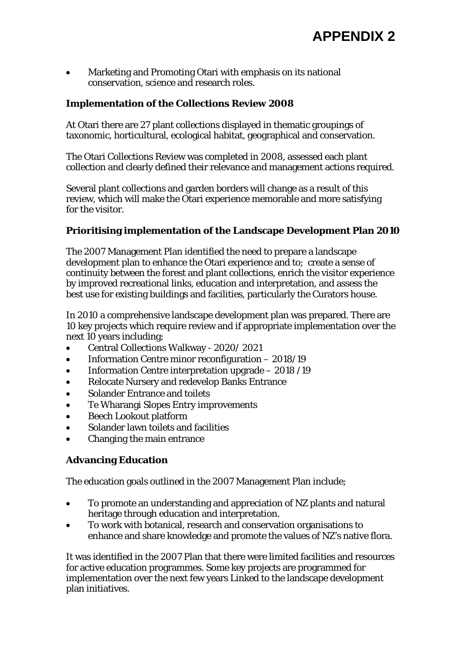Marketing and Promoting Otari with emphasis on its national conservation, science and research roles.

## **Implementation of the Collections Review 2008**

At Otari there are 27 plant collections displayed in thematic groupings of taxonomic, horticultural, ecological habitat, geographical and conservation.

The Otari Collections Review was completed in 2008, assessed each plant collection and clearly defined their relevance and management actions required.

Several plant collections and garden borders will change as a result of this review, which will make the Otari experience memorable and more satisfying for the visitor.

#### **Prioritising implementation of the Landscape Development Plan 2010**

The 2007 Management Plan identified the need to prepare a landscape development plan to enhance the Otari experience and to; create a sense of continuity between the forest and plant collections, enrich the visitor experience by improved recreational links, education and interpretation, and assess the best use for existing buildings and facilities, particularly the Curators house.

In 2010 a comprehensive landscape development plan was prepared. There are 10 key projects which require review and if appropriate implementation over the next 10 years including;

- Central Collections Walkway 2020/ 2021
- Information Centre minor reconfiguration 2018/19
- Information Centre interpretation upgrade 2018 /19
- Relocate Nursery and redevelop Banks Entrance
- Solander Entrance and toilets
- Te Wharangi Slopes Entry improvements
- Beech Lookout platform
- Solander lawn toilets and facilities
- Changing the main entrance

#### **Advancing Education**

The education goals outlined in the 2007 Management Plan include;

- To promote an understanding and appreciation of NZ plants and natural heritage through education and interpretation.
- To work with botanical, research and conservation organisations to enhance and share knowledge and promote the values of NZ's native flora.

It was identified in the 2007 Plan that there were limited facilities and resources for active education programmes. Some key projects are programmed for implementation over the next few years Linked to the landscape development plan initiatives.